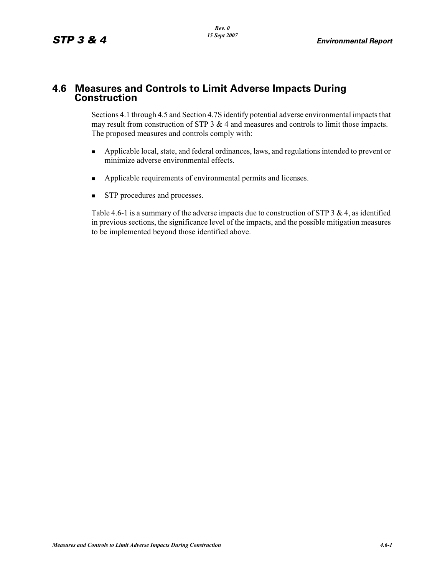# **4.6 Measures and Controls to Limit Adverse Impacts During Construction**

Sections 4.1 through 4.5 and Section 4.7S identify potential adverse environmental impacts that may result from construction of STP 3 & 4 and measures and controls to limit those impacts. The proposed measures and controls comply with:

- - Applicable local, state, and federal ordinances, laws, and regulations intended to prevent or minimize adverse environmental effects.
- -Applicable requirements of environmental permits and licenses.
- -STP procedures and processes.

Table 4.6-1 is a summary of the adverse impacts due to construction of STP 3 & 4, as identified in previous sections, the significance level of the impacts, and the possible mitigation measures to be implemented beyond those identified above.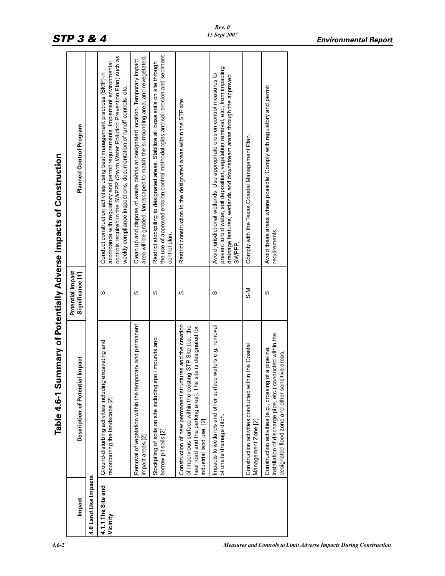| Impact                         | Description of Potential Impact                                                                                                                                                                                       | Potential Impact<br>Significance [1] | Planned Control Program                                                                                                                                                                                                                                                                                            |
|--------------------------------|-----------------------------------------------------------------------------------------------------------------------------------------------------------------------------------------------------------------------|--------------------------------------|--------------------------------------------------------------------------------------------------------------------------------------------------------------------------------------------------------------------------------------------------------------------------------------------------------------------|
| 4.0 Land Use Impacts           |                                                                                                                                                                                                                       |                                      |                                                                                                                                                                                                                                                                                                                    |
| 4.1.1 The Site and<br>Vicinity | excavating and<br>Ground-disturbing activities including<br>recontouring the landscape [2]                                                                                                                            | ഗ                                    | controls required in the SWPPP (Storm Water Pollution Prevention Plan) such as<br>accordance with regulatory and permit requirements. Implement environmental<br>Conduct construction activities using best management practices (BMP) in<br>weekly compliance inspections, documentation of runoff controls, etc. |
|                                | Removal of vegetation within the temporary and permanent<br>impact areas [2]                                                                                                                                          | S                                    | area will be graded, landscaped to match the surrounding area, and revegetated<br>Clean up and dispose of waste debris at designated location. Temporary impact                                                                                                                                                    |
|                                | Stockpiling of soils on site including spoil mounds and<br>borrow pit soils.[2]                                                                                                                                       | ഗ                                    | the use of approved erosion control methodologies and soil erosion and sediment<br>Restrict stockpiling to designated areas. Stabilize all loose soils on site through<br>control plan.                                                                                                                            |
|                                | Construction of new permanent structures and the creation<br>of impervious surface within the existing STP Site (i.e., the<br>haul road and the parking area). The site is designated for<br>industrial land use. [2] | w                                    | Restrict construction to the designated areas within the STP site.                                                                                                                                                                                                                                                 |
|                                | Impacts to wetlands and other surface waters e.g. removal<br>of onsite drainage ditch                                                                                                                                 | S                                    | prevent turbid water, soil deposition, vegetation removal, etc., from impacting<br>Avoid jurisdictional wetlands. Use appropriate erosion control measures to<br>drainage features, wetlands and downstream areas through the approved<br>SWPPP.                                                                   |
|                                | Construction activities conducted within the Coastal<br>Management Zone.[2]                                                                                                                                           | lk<br>S                              | Comply with the Texas Coastal Management Plan.                                                                                                                                                                                                                                                                     |
|                                | installation of discharge pipe, etc.) conducted within the<br>of a pipeline,<br>designated flood zone and other sensitive areas.<br>Construction activities (e.g., crossing                                           | w                                    | Avoid these areas where possible. Comply with regulatory and permit<br>requirements.                                                                                                                                                                                                                               |
|                                |                                                                                                                                                                                                                       |                                      |                                                                                                                                                                                                                                                                                                                    |

# Table 4.6-1 Summary of Potentially Adverse Impacts of Construction **Table 4.6-1 Summary of Potentially Adverse Impacts of Construction**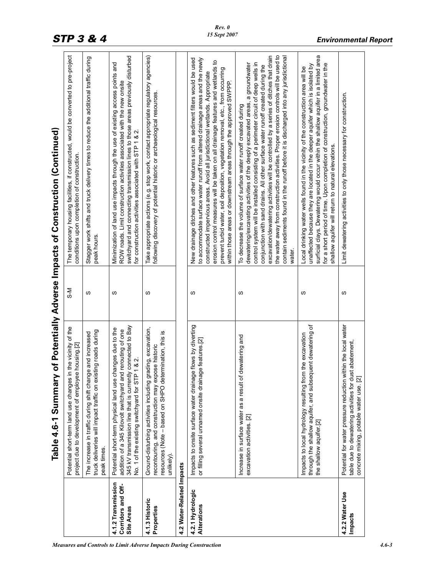|                                                        | Table 4.6-1 Summary of Potentially Adverse Impacts of Construction (Continued)                                                                                                                                                               |         |                                                                                                                                                                                                                                                                                                                                                                                                                                                                                                                                                                                                              |
|--------------------------------------------------------|----------------------------------------------------------------------------------------------------------------------------------------------------------------------------------------------------------------------------------------------|---------|--------------------------------------------------------------------------------------------------------------------------------------------------------------------------------------------------------------------------------------------------------------------------------------------------------------------------------------------------------------------------------------------------------------------------------------------------------------------------------------------------------------------------------------------------------------------------------------------------------------|
|                                                        | Potential short-term land use changes in the vicinity of the<br>project due to development of employee housing.[2]                                                                                                                           | i<br>२० | The temporary housing facilities, if constructed, would be converted to pre-project<br>conditions upon completion of construction.                                                                                                                                                                                                                                                                                                                                                                                                                                                                           |
|                                                        | truck deliveries will impact traffic on existing roads during<br>The increase in traffic during shift change and increased<br>peak times.                                                                                                    | w       | Stagger work shifts and truck delivery times to reduce the additional traffic during<br>peak hours                                                                                                                                                                                                                                                                                                                                                                                                                                                                                                           |
| 4.1.2 Transmission<br>Corridors and Off-<br>Site Areas | 345 kV transmission line that is currently connected to Bay<br>changes due to the<br>addition of a 345 Kilovolt switchyard and rerouting of one<br>No. 1 of the existing switchyard for STP 1 & 2.<br>Potential short-term physical land use | ω       | switchyard and connecting transmission lines to those areas previously disturbed<br>Minimization of land use impacts through the use of existing access points and<br>ROW roads. Limit construction activities associated with the new onsite<br>for construction activities associated with STP 1 & 2.                                                                                                                                                                                                                                                                                                      |
| 4.1.3 Historic<br>Properties                           | grading, excavation,<br>resources (Note - based on SHPO determination, this is<br>recontouring, and construction may expose historic<br>Ground-disturbing activities including<br>unlikely)                                                  | w       | Take appropriate actions (e.g. stop work, contact appropriate regulatory agencies)<br>following discovery of potential historic or archaeological resources.                                                                                                                                                                                                                                                                                                                                                                                                                                                 |
| 4.2 Water-Related Impacts                              |                                                                                                                                                                                                                                              |         |                                                                                                                                                                                                                                                                                                                                                                                                                                                                                                                                                                                                              |
| 4.2.1 Hydrologic<br>Alterations                        | Impacts to onsite surface water drainage flows by diverting<br>or filling several unnamed onsite drainage features.[2]                                                                                                                       | w       | New drainage ditches and other features such as sediment filters would be used<br>to accommodate surface water runoff from altered drainage areas and the newly<br><u>ي</u><br>erosion control measures will be taken on all drainage features and wetlands<br>prevent turbid water, soil deposition, vegetation removal, etc., from occurring<br>constructed impervious areas. Avoid all jurisdictional wetlands. Appropriate<br>within those areas or downstream areas through the approved SWPPP.                                                                                                         |
|                                                        | Increase in surface water as a result of dewatering and<br>excavation activities. [2]                                                                                                                                                        | S       | the water away from construction activities. Proper erosion controls will be used to<br>excavation/dewatering activities will be controlled by a series of ditches that drain<br>contain sediments found in the runoff before it is discharged into any jurisdictional<br>control system will be installed consisting of a perimeter circuit of deep wells in<br>dewatering/excavating activities of the deeply excavated areas, a groundwater<br>conjunction with sand drains. All other surface water runoff created during the<br>To decrease the volume of surface water runoff created during<br>water. |
|                                                        | through the shallow aquifer, and subsequent dewatering of<br>Impacts to local hydrology resulting from the excavation<br>the shallow aquifer.[2]                                                                                             | S       | surficial clays. Dewatering would occur within the shallow aquifer in a limited area<br>for a short period of time. Upon completion of construction, groundwater in the<br>unaffected because they are located in the deeper aquifer which is isolated by<br>Local drinking water wells found in the vicinity of the construction area will be<br>shallow aquifer will return to natural elevations.                                                                                                                                                                                                         |
| 4.2.2 Water Use<br>Impacts                             | Potential for water pressure reduction within the local water<br>table due to dewatering activities for dust abatement,<br>concrete mixing, potable water use. [2]                                                                           | S       | Limit dewatering activities to only those necessary for construction.                                                                                                                                                                                                                                                                                                                                                                                                                                                                                                                                        |

*Rev. 0 15 Sept 2007*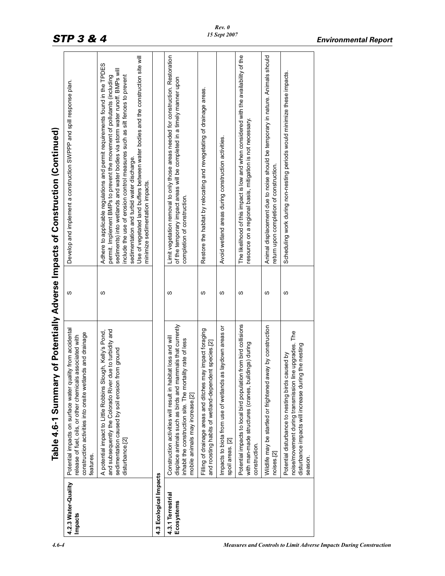|                                       | Table 4.6-1 Summary of Potentially Adverse Impacts of Construction (Continued)                                                                                                                                            |   |                                                                                                                                                                                                                                                                                                                                                                                                                                                                                          |
|---------------------------------------|---------------------------------------------------------------------------------------------------------------------------------------------------------------------------------------------------------------------------|---|------------------------------------------------------------------------------------------------------------------------------------------------------------------------------------------------------------------------------------------------------------------------------------------------------------------------------------------------------------------------------------------------------------------------------------------------------------------------------------------|
| 4.2.3 Water-Quality<br><b>Impacts</b> | Potential impacts on surface water quality from accidental<br>construction activities into onsite wetlands and drainage<br>associated with<br>release of fuel, oils, or other chemicals<br>features.                      | S | Develop and implement a construction SWPPP and spill response plan.                                                                                                                                                                                                                                                                                                                                                                                                                      |
|                                       | and subsequently the Colorado River due to turbidity and<br>A potential impact to Little Robbins Slough, Kelly's Pond,<br>rom ground<br>sedimentation caused by soil erosion f<br>disturbance.[2]                         | ഗ | Use of vegetated land buffers between water bodies and the construction site will<br>Adhere to applicable regulations and permit requirements found in the TPDES<br>sediments) into wetlands and water bodies via storm water runoff. BMPs will<br>permit. Implement BMPs to prevent the movement of pollutants (including<br>include the use of erosion control measures such as silt fences to prevent<br>sedimentation and turbid water discharge.<br>minimize sedimentation impacts. |
| 4.3 Ecological Impacts                |                                                                                                                                                                                                                           |   |                                                                                                                                                                                                                                                                                                                                                                                                                                                                                          |
| 4.3.1 Terrestrial<br>Ecosystems       | displace animals such as birds and mammals that currently<br>Construction activities will result in habitat loss and will<br>inhabit the construction site. The mortality rate of less<br>mobile animals may increase.[2] | S | Limit vegetation removal to only those areas needed for construction. Restoration<br>of the temporary impact areas will be completed in a timely manner upon<br>completion of construction.                                                                                                                                                                                                                                                                                              |
|                                       | Filling of drainage areas and ditches may impact foraging<br>and roosting habits of wetland-dependent species.[2]                                                                                                         | S | Restore the habitat by relocating and revegetating of drainage areas.                                                                                                                                                                                                                                                                                                                                                                                                                    |
|                                       | Impacts to biota from use of wetlands as laydown areas or<br>spoil areas. [2]                                                                                                                                             | w | Avoid wetland areas during construction activities.                                                                                                                                                                                                                                                                                                                                                                                                                                      |
|                                       | Potential impacts to local bird population from bird collisions<br>with man-made structures (cranes, buildings) during<br>construction.                                                                                   | S | The likelihood of this impact is low and when considered with the availability of the<br>esource on a regional basis, mitigation is not necessary.                                                                                                                                                                                                                                                                                                                                       |
|                                       | Wildlife may be startled or frightened away by construction<br>noises [2]                                                                                                                                                 | w | Animal displacement due to noise should be temporary in nature. Animals should<br>eturn upon completion of construction.                                                                                                                                                                                                                                                                                                                                                                 |
|                                       | ine upgrades. The<br>disturbance impacts will increase during the nesting<br>Potential disturbance to nesting birds caused by<br>noise/movement during transmission I<br>season                                           | ഗ | Scheduling work during non-nesting periods would minimize these impacts.                                                                                                                                                                                                                                                                                                                                                                                                                 |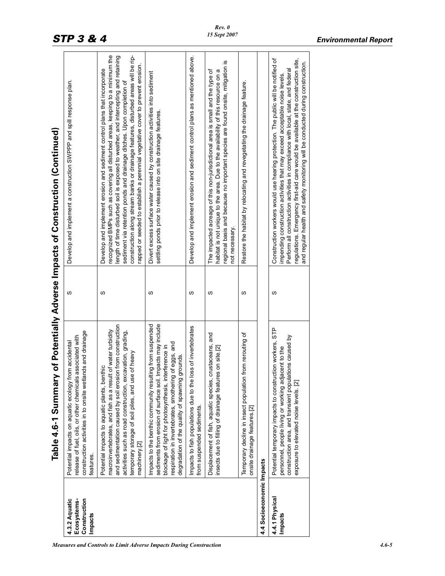|                                                         | Table 4.6-1 Summary of Potentially Adverse Impacts of Construction (Continued)                                                                                                                                                                                                                                |   |                                                                                                                                                                                                                                                                                                                                                                                                                                                                                                     |
|---------------------------------------------------------|---------------------------------------------------------------------------------------------------------------------------------------------------------------------------------------------------------------------------------------------------------------------------------------------------------------|---|-----------------------------------------------------------------------------------------------------------------------------------------------------------------------------------------------------------------------------------------------------------------------------------------------------------------------------------------------------------------------------------------------------------------------------------------------------------------------------------------------------|
| 4.3.2 Aquatic<br>Construction<br>Ecosystems-<br>Impacts | construction activities in to onsite wetlands and drainage<br>associated with<br>Potential impacts on aquatic ecology from accidental<br>release of fuel, oils, or other chemicals<br>features.                                                                                                               | S | Develop and implement a construction SWPPP and spill response plan.                                                                                                                                                                                                                                                                                                                                                                                                                                 |
|                                                         | and sedimentation caused by soil erosion from construction<br>macroinvertebrates, and fish as a result of water turbidity<br>activities such as road construction, excavation, grading,<br>temporary storage of soil piles, and use of heavy<br>Potential impacts to aquatic plants, benthic<br>machinery.[2] | S | construction along stream banks or drainage features, disturbed areas will be rip-<br>recognized BMPs such as covering all disturbed areas, keeping to a minimum the<br>length of time disturbed soil is exposed to weather, and intercepting and retaining<br>rapped or seeded to establish a perennial vegetative cover to prevent erosion.<br>Develop and implement erosion and sediment control plans that incorporate<br>sediment via retention ponds and drainage ditches. Upon completion of |
|                                                         | sediments from erosion of surface soil. Impacts may include<br>lting from suspended<br>respiration in invertebrates, smothering of eggs, and<br>blockage of light for photosynthesis, interference in<br>grounds.<br>degradation of the quality of spawning<br>Impacts to the benthic community resul         | ഗ | Divert excess surface water caused by construction activities into sediment<br>settling ponds prior to release into on site drainage features.                                                                                                                                                                                                                                                                                                                                                      |
|                                                         | loss of invertebrates<br>Impacts to fish populations due to the<br>from suspended sediments.                                                                                                                                                                                                                  | w | Develop and implement erosion and sediment control plans as mentioned above.                                                                                                                                                                                                                                                                                                                                                                                                                        |
|                                                         | crustaceans, and<br>insects due to filling of drainage features on site.[2]<br>Displacement of fish, aquatic species,                                                                                                                                                                                         | S | regional basis and because no important species are found onsite, mitigation is<br>The impacted acreage of this non-jurisdictional area is small and the type of<br>habitat is not unique to the area. Due to the availability of this resource on a<br>not necessary.                                                                                                                                                                                                                              |
|                                                         | from rerouting of<br>Temporary decline in insect population<br>onsite drainage features.[2]                                                                                                                                                                                                                   | S | Restore the habitat by relocating and revegetating the drainage feature                                                                                                                                                                                                                                                                                                                                                                                                                             |
| 4.4 Socioeconomic Impacts                               |                                                                                                                                                                                                                                                                                                               |   |                                                                                                                                                                                                                                                                                                                                                                                                                                                                                                     |
| 4.4.1 Physical<br>Impacts                               | STP<br>construction area, and transient populations caused by<br>Potential temporary impacts to construction workers,<br>personnel, people living or working adjacent to the<br>exposure to elevated noise levels. [2]                                                                                        | S | Construction workers would use hearing protection. The public will be notified of<br>regulations. Emergency first-aid care would be available at the construction site,<br>and regular health and safety monitoring will be conducted during construction.<br>Perform all construction activities in compliance with local, state, and federal<br>impending construction activities that may exceed acceptable noise levels.                                                                        |
|                                                         |                                                                                                                                                                                                                                                                                                               |   |                                                                                                                                                                                                                                                                                                                                                                                                                                                                                                     |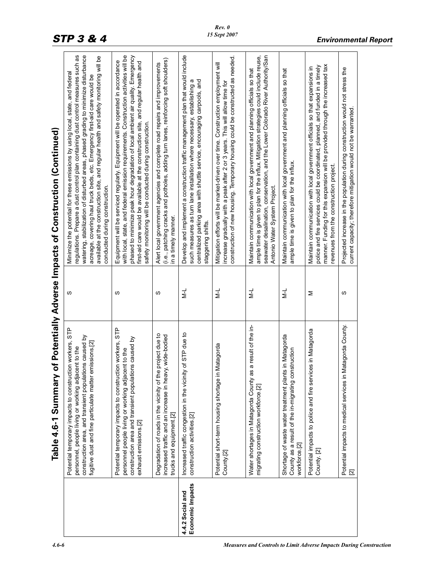| <br> <br>                   |
|-----------------------------|
|                             |
|                             |
|                             |
|                             |
|                             |
| <br> <br> <br>              |
|                             |
|                             |
|                             |
|                             |
|                             |
| )<br>5<br>1                 |
|                             |
|                             |
| ĺ                           |
|                             |
|                             |
|                             |
| $\ddot{\phantom{a}}$        |
|                             |
| $\bf{1}$                    |
|                             |
|                             |
| l                           |
|                             |
|                             |
|                             |
|                             |
|                             |
|                             |
|                             |
|                             |
|                             |
|                             |
|                             |
|                             |
|                             |
|                             |
|                             |
|                             |
| <b>Common Potentially 4</b> |
|                             |
|                             |
|                             |
|                             |
|                             |
| j                           |
| $\ddot{\phantom{0}}$        |

|                                      | Table 4.6-1 Summary of Potentially Adverse Impacts of Construction (Continued)                                                                                                                                                           |               |                                                                                                                                                                                                                                                                                                                                                                                                                                                                 |
|--------------------------------------|------------------------------------------------------------------------------------------------------------------------------------------------------------------------------------------------------------------------------------------|---------------|-----------------------------------------------------------------------------------------------------------------------------------------------------------------------------------------------------------------------------------------------------------------------------------------------------------------------------------------------------------------------------------------------------------------------------------------------------------------|
|                                      | Potential temporary impacts to construction workers, STP<br>construction area, and transient populations caused by<br>remissions.[2]<br>personnel, people living or working adjacent to the<br>fugitive dust and fine particulate matter | S             | regulations. Prepare a dust control plan containing dust control measures such as<br>watering, stabilization of disturbed areas, phased grading to minimize disturbance<br>available at the construction site, and regular health and safety monitoring will be<br>Minimize the potential for these emissions by using local, state, and federal<br>acreage, covering haul truck beds, etc. Emergency first-aid care would be<br>conducted during construction. |
|                                      | Potential temporary impacts to construction workers, STP<br>construction area and transient populations caused by<br>personnel people living or working adjacent to the<br>exhaust emissions.[2]                                         | ഗ             | with local, state, and federal emission requirements. Construction activities will be<br>phased to minimize peak hour degradation of local ambient air quality. Emergency<br>Equipment will be serviced regularly. Equipment will be operated in accordance<br>first-aid care would be available at the construction site, and regular health and<br>safety monitoring will be conducted during construction.                                                   |
|                                      | Degradation of roads in the vicinity of the project due to<br>increased traffic and an increase in heavy, wide-bodied<br>trucks and equipment.[2]                                                                                        | w             | (i.e., patching cracks and potholes, adding turn lanes, reinforcing soft shoulders)<br>Alert local government agencies and complete road repairs and improvements<br>in a timely manner.                                                                                                                                                                                                                                                                        |
| Economic Impacts<br>4.4.2 Social and | Increased traffic congestion in the vicinity of STP due to<br>construction activities.[2]                                                                                                                                                | ₹             | Develop and implement a construction traffic management plan that would include<br>centralized parking area with shuttle service, encouraging carpools, and<br>such measures as turn lane installation where necessary, establishing a<br>staggering shifts.                                                                                                                                                                                                    |
|                                      | in Matagorda<br>Potential short-term housing shortage<br>County.[2]                                                                                                                                                                      | $\frac{1}{2}$ | construction of new housing. Temporary housing could be constructed as needed.<br>Mitigation efforts will be market-driven over time. Construction employment will<br>increase gradually with a peak after 2 or 3 years. This will allow time for                                                                                                                                                                                                               |
|                                      | as a result of the in-<br>Water shortages in Matagorda County<br>migrating construction workforce.[2]                                                                                                                                    | $\geq$        | seawater desalination, conservation, and the Lower Colorado River Authority/San<br>ample time is given to plan for the influx. Mitigation strategies could include reuse,<br>Maintain communication with local government and planning officials so that<br>Antonio Water System Project.                                                                                                                                                                       |
|                                      | Shortage of waste water treatment plants in Matagorda<br>County as a result of the in-migrating construction<br>workforce.[2]                                                                                                            | $\frac{1}{2}$ | Maintain communication with local government and planning officials so that<br>ample time is given to plan for the influx.                                                                                                                                                                                                                                                                                                                                      |
|                                      | Potential impacts to police and fire services in Matagorda<br>County. [2]                                                                                                                                                                | Σ             | manner. Funding for this expansion will be provided through the increased tax<br>police and fire services could be coordinated, planned, and funded in a timely<br>Maintain communication with local government officials so that expansions in<br>revenues from the construction project.                                                                                                                                                                      |
|                                      | Potential impacts to medical services in Matagorda County.                                                                                                                                                                               | S             | Projected increase in the population during construction would not stress the<br>current capacity; therefore mitigation would not be warranted.                                                                                                                                                                                                                                                                                                                 |

*4.6-6 Measures and Controls to Limit Adverse Impacts During Construction* 

*Rev. 0 15 Sept 2007*